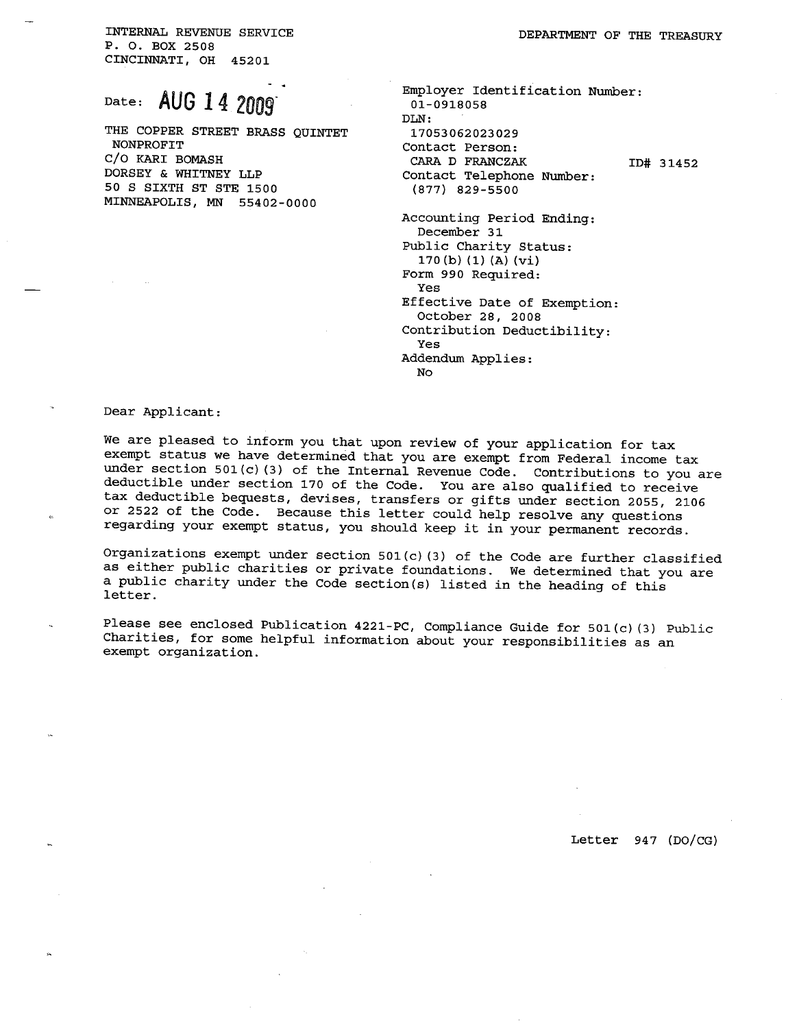INTERNAL REVENUE SERVICE P. O. BOX 2508 CINCINNATI, OH 45201

## Date: AUG 14 2009

THE COPPER STREET BRASS QUINTET NONPROFIT C/O KARI BOMASH DORSEY & WHITNEY LLP 50 S SIXTH ST STE 1500 MINNEAPOLIS, MN 55402-0000

| Employer Identification Number:                  |           |
|--------------------------------------------------|-----------|
| 01-0918058                                       |           |
| DLN :                                            |           |
| 17053062023029                                   |           |
| Contact Person:                                  |           |
| <b>CARA D FRANCZAK</b>                           | ID# 31452 |
| Contact Telephone Number:                        |           |
| (877) 829-5500                                   |           |
| Accounting Period Ending:<br>December 31         |           |
| Public Charity Status:<br>170(b)(1)(A)(vi)       |           |
| Form 990 Required:<br>Yes                        |           |
| Effective Date of Exemption:<br>October 28, 2008 |           |
| Contribution Deductibility:<br>Yes               |           |
| Addendum Applies:                                |           |
| No                                               |           |

Dear Applicant:

We are pleased to inform you that upon review of your application for tax exempt status we have determined that you are exempt from Federal income tax under section 501 (c) (3) of the Internal Revenue Code. Contributions to you are deductible under section 170 of the Code. You are also qualified to receive tax deductible bequests, devises, transfers or gifts under section 2055, 2106 or 2522 of the Code. Because this letter could help resolve any questions regarding your exempt status, you should keep it in your permanent records.

Organizations exempt under section 501 (c) (3) of the Code are further classified as either public charities or private foundations. We determined that you are a public charity under the Code section(s) listed in the heading of this letter.

Please see enclosed Publication 4221-PC, Compliance Guide for 501 (c) (3) Public Charities, for some helpful information about your responsibilities as an exempt organization.

Letter 947 (DO/CG)